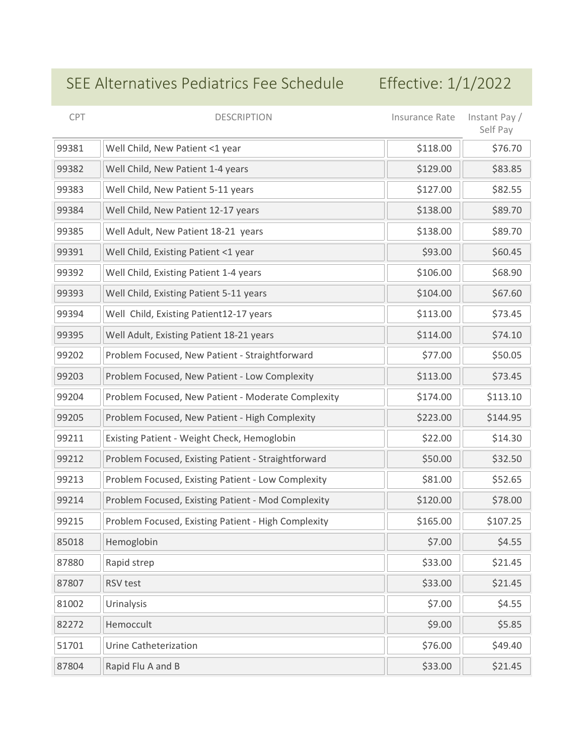## SEE Alternatives Pediatrics Fee Schedule Effective: 1/1/2022

| CPT   | <b>DESCRIPTION</b>                                  | Insurance Rate | Instant Pay /<br>Self Pay |
|-------|-----------------------------------------------------|----------------|---------------------------|
| 99381 | Well Child, New Patient <1 year                     | \$118.00       | \$76.70                   |
| 99382 | Well Child, New Patient 1-4 years                   | \$129.00       | \$83.85                   |
| 99383 | Well Child, New Patient 5-11 years                  | \$127.00       | \$82.55                   |
| 99384 | Well Child, New Patient 12-17 years                 | \$138.00       | \$89.70                   |
| 99385 | Well Adult, New Patient 18-21 years                 | \$138.00       | \$89.70                   |
| 99391 | Well Child, Existing Patient <1 year                | \$93.00        | \$60.45                   |
| 99392 | Well Child, Existing Patient 1-4 years              | \$106.00       | \$68.90                   |
| 99393 | Well Child, Existing Patient 5-11 years             | \$104.00       | \$67.60                   |
| 99394 | Well Child, Existing Patient12-17 years             | \$113.00       | \$73.45                   |
| 99395 | Well Adult, Existing Patient 18-21 years            | \$114.00       | \$74.10                   |
| 99202 | Problem Focused, New Patient - Straightforward      | \$77.00        | \$50.05                   |
| 99203 | Problem Focused, New Patient - Low Complexity       | \$113.00       | \$73.45                   |
| 99204 | Problem Focused, New Patient - Moderate Complexity  | \$174.00       | \$113.10                  |
| 99205 | Problem Focused, New Patient - High Complexity      | \$223.00       | \$144.95                  |
| 99211 | Existing Patient - Weight Check, Hemoglobin         | \$22.00        | \$14.30                   |
| 99212 | Problem Focused, Existing Patient - Straightforward | \$50.00        | \$32.50                   |
| 99213 | Problem Focused, Existing Patient - Low Complexity  | \$81.00        | \$52.65                   |
| 99214 | Problem Focused, Existing Patient - Mod Complexity  | \$120.00       | \$78.00                   |
| 99215 | Problem Focused, Existing Patient - High Complexity | \$165.00       | \$107.25                  |
| 85018 | Hemoglobin                                          | \$7.00         | \$4.55                    |
| 87880 | Rapid strep                                         | \$33.00        | \$21.45                   |
| 87807 | RSV test                                            | \$33.00        | \$21.45                   |
| 81002 | Urinalysis                                          | \$7.00         | \$4.55                    |
| 82272 | Hemoccult                                           | \$9.00         | \$5.85                    |
| 51701 | Urine Catheterization                               | \$76.00        | \$49.40                   |
| 87804 | Rapid Flu A and B                                   | \$33.00        | \$21.45                   |